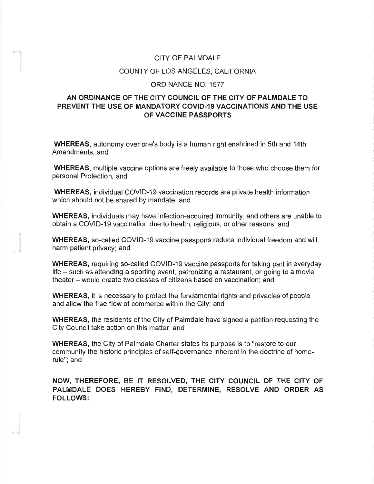## CITY OF PALMDALE

## COUNTY OF LOS ANGELES, CALIFORNIA

## ORDINANCE NO. 1577

## **AN ORDINANCE OF THE CITY COUNCIL OF THE CITY OF PALMDALE TO PREVENT THE USE OF MANDATORY COVID-19 VACCINATIONS AND THE USE OF VACCINE PASSPORTS**

**WHEREAS,** autonomy over one's body is a human right enshrined in 5th and 14th Amendments; and

**WHEREAS,** multiple vaccine options are freely available to those who choose them for personal Protection, and

**WHEREAS,** individual COVID-19 vaccination records are private health information which should not be shared by mandate; and

**WHEREAS,** individuals may have infection-acquired immunity, and others are unable to obtain a COVID-19 vaccination due to health, religious, or other reasons; and

**WHEREAS,** so-called COVID-19 vaccine passports reduce individual freedom and will harm patient privacy; and

**WHEREAS,** requiring so-called COVID-19 vaccine passports for taking part in everyday life – such as attending a sporting event, patronizing a restaurant, or going to a movie theater - would create two classes of citizens based on vaccination; and

**WHEREAS,** it is necessary to protect the fundamental rights and privacies of people and allow the free flow of commerce within the City; and

**WHEREAS,** the residents of the City of Palmdale have signed a petition requesting the City Council take action on this matter; and

**WHEREAS,** the City of Palmdale Charter states its purpose is to "restore to our community the historic principles of self-governance inherent in the doctrine of homerule"; and

**NOW, THEREFORE, BE IT RESOLVED, THE CITY COUNCIL OF THE CITY OF PALMDALE DOES HEREBY FIND, DETERMINE, RESOLVE AND ORDER AS FOLLOWS:**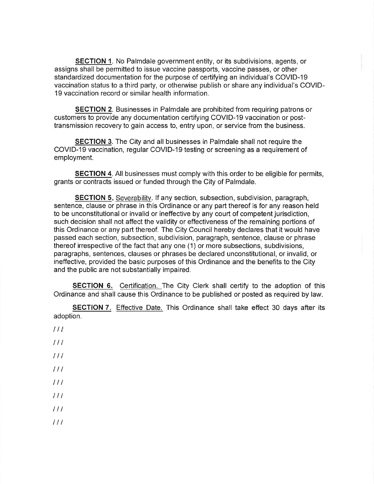**SECTION 1.** No Palmdale government entity, or its subdivisions, agents, or assigns shall be permitted to issue vaccine passports, vaccine passes, or other standardized documentation for the purpose of certifying an individual's COVID-19 vaccination status to a third party, or otherwise publish or share any individual's COVID-19 vaccination record or similar health information.

**SECTION** 2. Businesses in Palmdale are prohibited from requiring patrons or customers to provide any documentation certifying COVID-19 vaccination or posttransmission recovery to gain access to, entry upon, or service from the business.

**SECTION** 3. The City and all businesses in Palmdale shall not require the COVID-19 vaccination, regular COVID-19 testing or screening as a requirement of employment.

**SECTION 4.** All businesses must comply with this order to be eligible for permits, grants or contracts issued or funded through the City of Palmdale.

**SECTION 5.** Severability. If any section, subsection, subdivision, paragraph, sentence, clause or phrase in this Ordinance or any part thereof is for any reason held to be unconstitutional or invalid or ineffective by any court of competent jurisdiction, such decision shall not affect the validity or effectiveness of the remaining portions of this Ordinance or any part thereof. The City Council hereby declares that it would have passed each section, subsection, subdivision, paragraph, sentence, clause or phrase thereof irrespective of the fact that any one (1) or more subsections, subdivisions, paragraphs, sentences, clauses or phrases be declared unconstitutional, or invalid, or ineffective, provided the basic purposes of this Ordinance and the benefits to the City and the public are not substantially impaired.

**SECTION 6.** Certification. The City Clerk shall certify to the adoption of this Ordinance and shall cause this Ordinance to be published or posted as required by law.

**SECTION** 7. Effective Date. This Ordinance shall take effect 30 days after its adoption.

- $11<sup>t</sup>$ *I I I*
- 
- *I I I*
- *I I I*
- *I I I*
- *I I I*
- *I I I*
- *I I I*